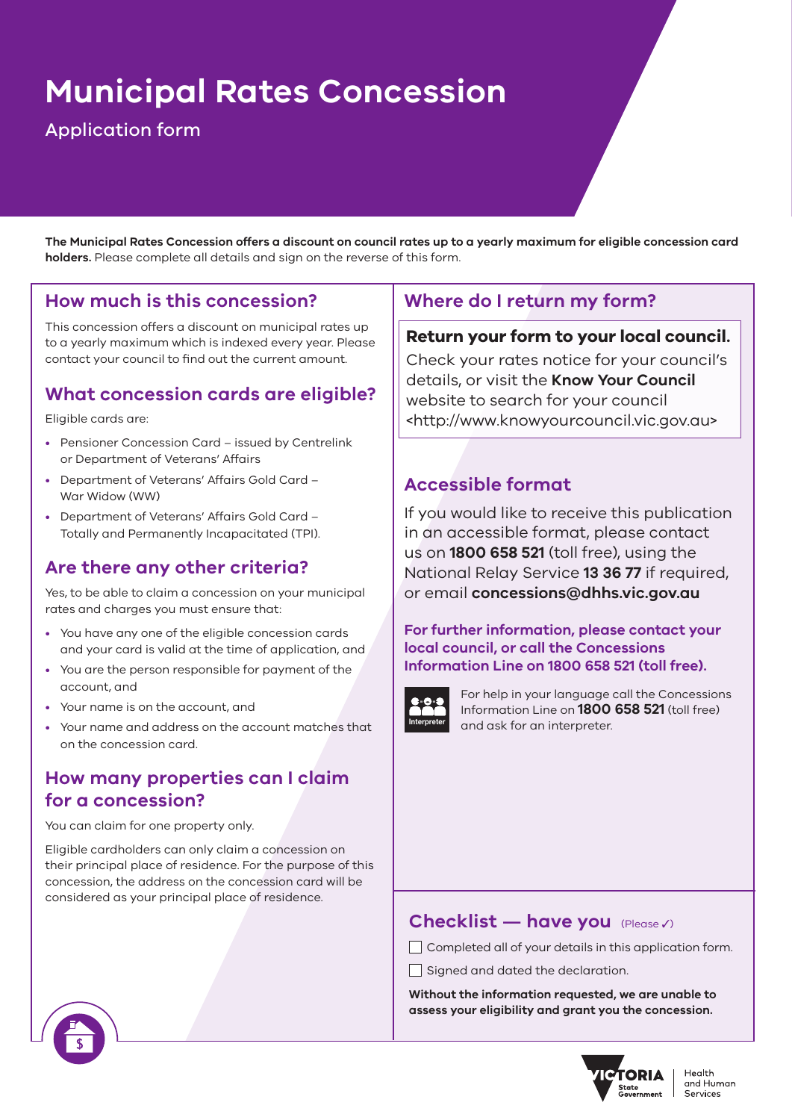# **Municipal Rates Concession**

# Application form

**The Municipal Rates Concession offers a discount on council rates up to a yearly maximum for eligible concession card holders.** Please complete all details and sign on the reverse of this form.

#### **How much is this concession?**

This concession offers a discount on municipal rates up to a yearly maximum which is indexed every year. Please contact your council to find out the current amount.

## **What concession cards are eligible?**

Eligible cards are:

- Pensioner Concession Card issued by Centrelink or Department of Veterans' Affairs
- Department of Veterans' Affairs Gold Card War Widow (WW)
- Department of Veterans' Affairs Gold Card Totally and Permanently Incapacitated (TPI).

# **Are there any other criteria?**

Yes, to be able to claim a concession on your municipal rates and charges you must ensure that:

- You have any one of the eligible concession cards and your card is valid at the time of application, and
- You are the person responsible for payment of the account, and
- Your name is on the account, and
- Your name and address on the account matches that on the concession card.

## **How many properties can I claim for a concession?**

You can claim for one property only.

Eligible cardholders can only claim a concession on their principal place of residence. For the purpose of this concession, the address on the concession card will be considered as your principal place of residence.

# **Where do I return my form?**

#### **Return your form to your local council.**

Check your rates notice for your council's details, or visit the **[Know Your Council](http://www.knowyourcouncil.vic.gov.au)** website to search for your council <http://www.knowyourcouncil.vic.gov.au>

#### **Accessible format**

If you would like to receive this publication in an accessible format, please contact us on **1800 658 521** (toll free), using the National Relay Service **13 36 77** if required, or email **concessions@dhhs.vic.gov.au**

#### **For further information, please contact your local council, or call the Concessions Information Line on 1800 658 521 (toll free).**



For help in your language call the Concessions Information Line on **1800 658 521** (toll free) and ask for an interpreter.

#### **Checklist — have you** (Please 3)

Completed all of your details in this application form.

 $\Box$  Signed and dated the declaration.

**Without the information requested, we are unable to assess your eligibility and grant you the concession.**